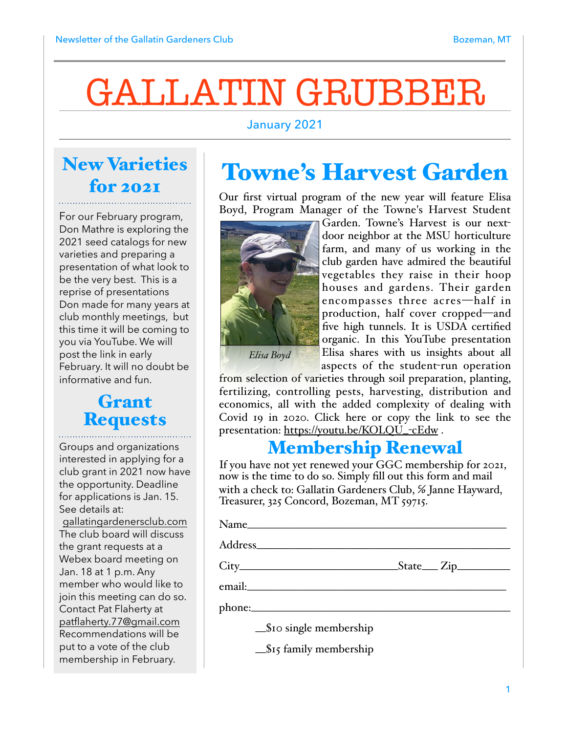# GALLATIN GRUBBER

#### January 2021

### New Varieties for 2021

For our February program, Don Mathre is exploring the 2021 seed catalogs for new varieties and preparing a presentation of what look to be the very best. This is a reprise of presentations Don made for many years at club monthly meetings, but this time it will be coming to you via YouTube. We will post the link in early February. It will no doubt be informative and fun.

#### Grant **Requests**

Groups and organizations interested in applying for a club grant in 2021 now have the opportunity. Deadline for applications is Jan. 15. See details at: [gallatingardenersclub.com](http://gallatingardenersclub.com) The club board will discuss the grant requests at a Webex board meeting on Jan. 18 at 1 p.m. Any member who would like to join this meeting can do so. Contact Pat Flaherty at [patflaherty.77@gmail.com](mailto:patflaherty.77@gmail.com) Recommendations will be put to a vote of the club membership in February.

### Towne's Harvest Garden

Our first virtual program of the new year will feature Elisa Boyd, Program Manager of the Towne's Harvest Student



Garden. Towne's Harvest is our nextdoor neighbor at the MSU horticulture farm, and many of us working in the club garden have admired the beautiful vegetables they raise in their hoop houses and gardens. Their garden encompasses three acres—half in production, half cover cropped—and five high tunnels. It is USDA certified organic. In this YouTube presentation Elisa shares with us insights about all aspects of the student-run operation

*Elisa Boyd*

from selection of varieties through soil preparation, planting, fertilizing, controlling pests, harvesting, distribution and economics, all with the added complexity of dealing with Covid 19 in 2020. Click here or copy the link to see the presentation: [https://youtu.be/KOLQU\\_](https://youtu.be/KOLQU_-cEdw)-cEdw.

#### Membership Renewal

If you have not yet renewed your GGC membership for 2021, now is the time to do so. Simply fill out this form and mail with a check to: Gallatin Gardeners Club, % Janne Hayward, Treasurer, 325 Concord, Bozeman, MT 59715.

Name\_\_\_\_\_\_\_\_\_\_\_\_\_\_\_\_\_\_\_\_\_\_\_\_\_\_\_\_\_\_\_\_\_\_\_\_\_\_\_\_\_\_\_\_\_\_\_\_\_

Address\_\_\_\_\_\_\_\_\_\_\_\_\_\_\_\_\_\_\_\_\_\_\_\_\_\_\_\_\_\_\_\_\_\_\_\_\_\_\_\_\_\_\_\_\_\_\_\_

 $City$   $City$   $Step$   $State$   $Zip$ 

email:\_\_\_\_\_\_\_\_\_\_\_\_\_\_\_\_\_\_\_\_\_\_\_\_\_\_\_\_\_\_\_\_\_\_\_\_\_\_\_\_\_\_\_\_\_\_\_\_\_

phone:\_\_\_\_\_\_\_\_\_\_\_\_\_\_\_\_\_\_\_\_\_\_\_\_\_\_\_\_\_\_\_\_\_\_\_\_\_\_\_\_\_\_\_\_\_\_\_\_\_

 $\mathcal{S}$ 10 single membership

 $\frac{\pi}{315}$  family membership